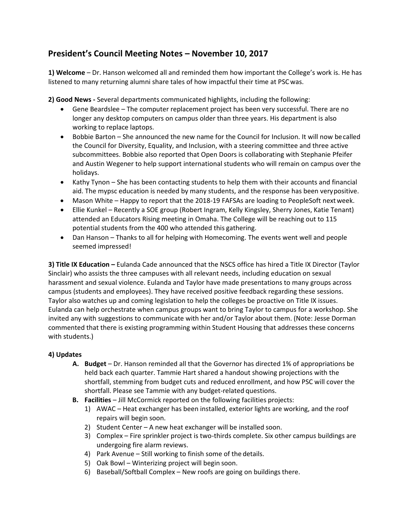## **President's Council Meeting Notes – November 10, 2017**

**1) Welcome** – Dr. Hanson welcomed all and reminded them how important the College's work is. He has listened to many returning alumni share tales of how impactful their time at PSCwas.

**2) Good News -** Several departments communicated highlights, including the following:

- · Gene Beardslee The computer replacement project has been very successful. There are no longer any desktop computers on campus older than three years. His department is also working to replace laptops.
- · Bobbie Barton She announced the new name for the Council for Inclusion. It will now becalled the Council for Diversity, Equality, and Inclusion, with a steering committee and three active subcommittees. Bobbie also reported that Open Doors is collaborating with Stephanie Pfeifer and Austin Wegener to help support international students who will remain on campus over the holidays.
- · Kathy Tynon She has been contacting students to help them with their accounts and financial aid. The mypsc education is needed by many students, and the response has been verypositive.
- · Mason White Happy to report that the 2018-19 FAFSAs are loading to PeopleSoft nextweek.
- · Ellie Kunkel Recently a SOE group (Robert Ingram, Kelly Kingsley, Sherry Jones, Katie Tenant) attended an Educators Rising meeting in Omaha. The College will be reaching out to 115 potential students from the 400 who attended this gathering.
- · Dan Hanson Thanks to all for helping with Homecoming. The events went well and people seemed impressed!

**3) Title IX Education –** Eulanda Cade announced that the NSCS office has hired a Title IX Director (Taylor Sinclair) who assists the three campuses with all relevant needs, including education on sexual harassment and sexual violence. Eulanda and Taylor have made presentations to many groups across campus (students and employees). They have received positive feedback regarding these sessions. Taylor also watches up and coming legislation to help the colleges be proactive on Title IX issues. Eulanda can help orchestrate when campus groups want to bring Taylor to campus for a workshop. She invited any with suggestions to communicate with her and/or Taylor about them. (Note: Jesse Dorman commented that there is existing programming within Student Housing that addresses these concerns with students.)

## **4) Updates**

- **A. Budget**  Dr. Hanson reminded all that the Governor has directed 1% of appropriations be held back each quarter. Tammie Hart shared a handout showing projections with the shortfall, stemming from budget cuts and reduced enrollment, and how PSC will cover the shortfall. Please see Tammie with any budget-related questions.
- **B. Facilities**  Jill McCormick reported on the following facilities projects:
	- 1) AWAC Heat exchanger has been installed, exterior lights are working, and the roof repairs will begin soon.
	- 2) Student Center A new heat exchanger will be installed soon.
	- 3) Complex Fire sprinkler project is two-thirds complete. Six other campus buildings are undergoing fire alarm reviews.
	- 4) Park Avenue Still working to finish some of the details.
	- 5) Oak Bowl Winterizing project will begin soon.
	- 6) Baseball/Softball Complex New roofs are going on buildings there.